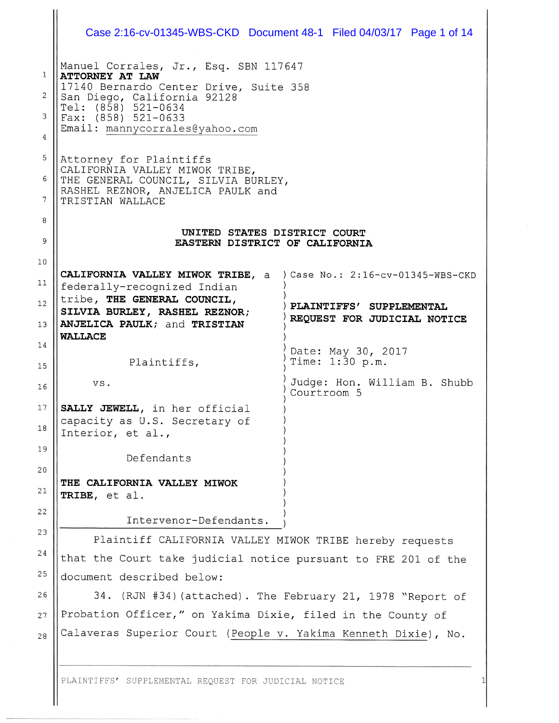| Manuel Corrales, Jr., Esq. SBN 117647<br><b>ATTORNEY AT LAW</b>                                                                       |                                                            |  |  |  |  |
|---------------------------------------------------------------------------------------------------------------------------------------|------------------------------------------------------------|--|--|--|--|
|                                                                                                                                       |                                                            |  |  |  |  |
| 17140 Bernardo Center Drive, Suite 358                                                                                                |                                                            |  |  |  |  |
| San Diego, California 92128<br>Tel: (858) 521-0634                                                                                    |                                                            |  |  |  |  |
| $\text{Fax:}$ (858) 521-0633<br>Email: mannycorrales@yahoo.com                                                                        |                                                            |  |  |  |  |
|                                                                                                                                       |                                                            |  |  |  |  |
| Attorney for Plaintiffs<br>CALIFORNIA VALLEY MIWOK TRIBE,<br>THE GENERAL COUNCIL, SILVIA BURLEY,<br>RASHEL REZNOR, ANJELICA PAULK and |                                                            |  |  |  |  |
| TRISTIAN WALLACE                                                                                                                      |                                                            |  |  |  |  |
|                                                                                                                                       |                                                            |  |  |  |  |
| UNITED STATES DISTRICT COURT<br>EASTERN DISTRICT OF CALIFORNIA                                                                        |                                                            |  |  |  |  |
|                                                                                                                                       |                                                            |  |  |  |  |
| <b>CALIFORNIA VALLEY MIWOK TRIBE, a</b> ) Case No.: 2:16-cv-01345-WBS-CKD                                                             |                                                            |  |  |  |  |
| federally-recognized Indian<br>tribe, THE GENERAL COUNCIL,                                                                            |                                                            |  |  |  |  |
| SILVIA BURLEY, RASHEL REZNOR;                                                                                                         | PLAINTIFFS' SUPPLEMENTAL                                   |  |  |  |  |
| ANJELICA PAULK; and TRISTIAN                                                                                                          | REQUEST FOR JUDICIAL NOTICE                                |  |  |  |  |
| <b>WALLACE</b>                                                                                                                        | Date: May 30, 2017                                         |  |  |  |  |
| Plaintiffs,                                                                                                                           | Time: 1:30 p.m.                                            |  |  |  |  |
| V S.                                                                                                                                  | Judge: Hon. William B. Shubb<br>Courtroom 5                |  |  |  |  |
| SALLY JEWELL, in her official<br>capacity as U.S. Secretary of<br>Interior, et al.,                                                   |                                                            |  |  |  |  |
| Defendants                                                                                                                            |                                                            |  |  |  |  |
| THE CALIFORNIA VALLEY MIWOK                                                                                                           |                                                            |  |  |  |  |
| TRIBE, et al.                                                                                                                         |                                                            |  |  |  |  |
| Intervenor-Defendants.                                                                                                                |                                                            |  |  |  |  |
|                                                                                                                                       |                                                            |  |  |  |  |
| Plaintiff CALIFORNIA VALLEY MIWOK TRIBE hereby requests                                                                               |                                                            |  |  |  |  |
| that the Court take judicial notice pursuant to FRE 201 of the                                                                        |                                                            |  |  |  |  |
| document described below:                                                                                                             |                                                            |  |  |  |  |
|                                                                                                                                       | 34. (RJN #34) (attached). The February 21, 1978 "Report of |  |  |  |  |
| Probation Officer," on Yakima Dixie, filed in the County of<br>Calaveras Superior Court (People v. Yakima Kenneth Dixie), No.         |                                                            |  |  |  |  |

PLAINTIFFS' SUPPLEMENTAL REQUEST FOR JUDICIAL NOTICE

 $\mathbf{\mathbf{\mathsf{H}}}$ 

1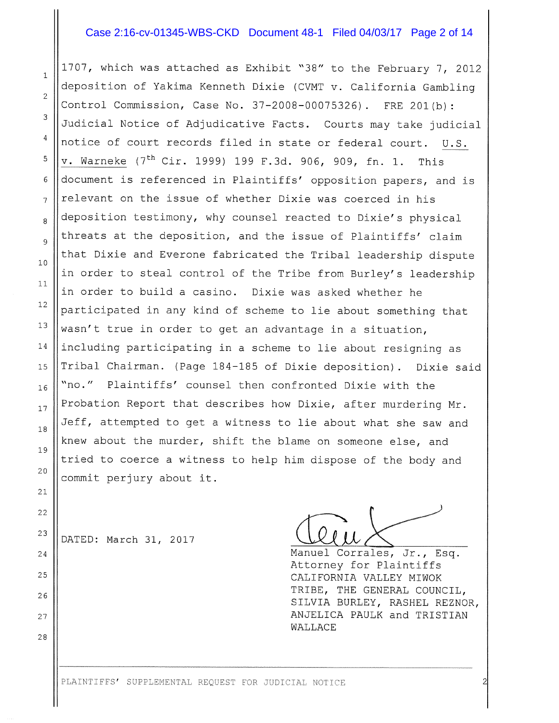## Case 2:16-cv-01345-WBS-CKD Document 48-1 Filed 04/03/17 Page 2 of 14

1707, which was attached as Exhibit "38" to the February 7, 2012 deposition of Yakima Kenneth Dixie (CVMT v. California Gambling Control Commission, Case No. 37—2008—00075326). FRE 201(b): 3 Judicial Notice of Adjudicative Facts. Courts may take judicial notice of court records filed in state or federal court. U.S. v. Warneke (7<sup>th</sup> Cir. 1999) 199 F.3d. 906, 909, fn. 1. This <sup>6</sup> document is referenced in Plaintiffs' opposition papers, and is  $7$  || relevant on the issue of whether Dixie was coerced in his  $\frac{1}{8}$  deposition testimony, why counsel reacted to Dixie's physical threats at the deposition, and the issue of Plaintiffs' claim  $\begin{array}{c|c} 10 \end{array}$  that Dixie and Everone fabricated the Tribal leadership dispute in order to steal control of the Tribe from Burley's leadership in order to build <sup>a</sup> casino. Dixie was asked whether he  $12$  participated in any kind of scheme to lie about something that <sup>13</sup> Wasn't true in order to get an advantage in a situation,  $14$  ||including participating in a scheme to lie about resigning as 15 || Tribal Chairman. (Page 184-185 of Dixie deposition). Dixie said  $_{16}$  ||"no." Plaintiffs' counsel then confronted Dixie with the  $_{17}$  Probation Report that describes how Dixie, after murdering Mr. Jeff, attempted to get <sup>a</sup> witness to lie about what she saw and knew about the murder, shift the blame on someone else, and tried to coerce <sup>a</sup> witness to help him dispose of the body and 20 commit perjury about it.

<sup>23</sup> DATED: March 31, 2017

2

 $\overline{4}$ 

5

 $\mathbf{1}$ 

11

9

18

19

 $21$ 

 $2\sqrt{2}$ 

28

<sup>24</sup> Manuel Corrales, Jr., Esq. Attorney for Plaintiffs <sup>25</sup> CALIFORNIA VALLEY MIWOK TRIBE, THE GENERAL COUNCIL, <sup>26</sup> SILVIA BURLEY, RASHEL REZNOR, <sup>27</sup> ANJELICA PAULK and TRISTIAN WALLACE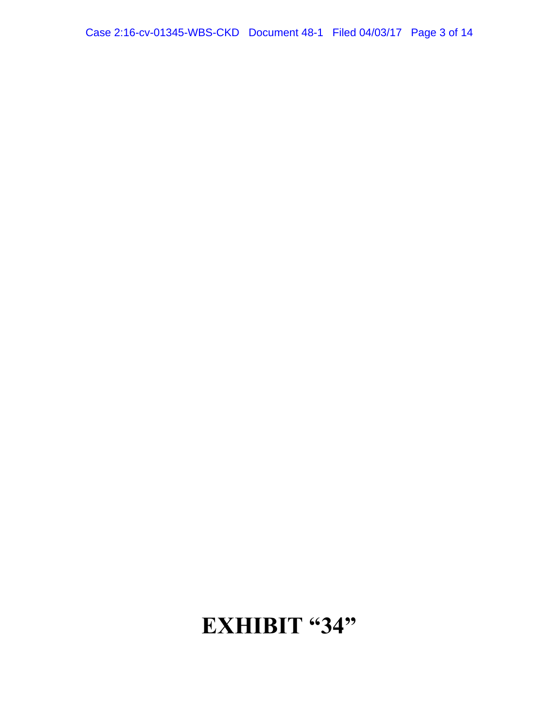# **EXHIBIT "34"**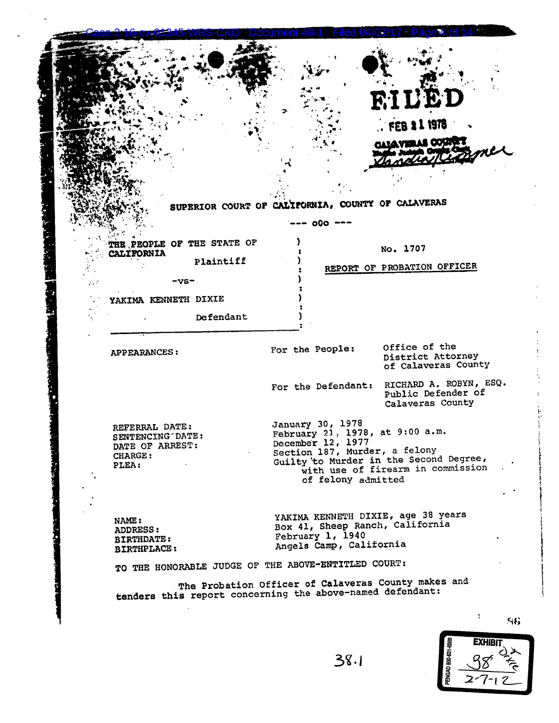|                                                       |           |                  |                    | RILED                                                                                                        |  |
|-------------------------------------------------------|-----------|------------------|--------------------|--------------------------------------------------------------------------------------------------------------|--|
|                                                       |           |                  |                    | . FEB 2 1 1978                                                                                               |  |
|                                                       |           |                  |                    | <b>BATAVIELLE COSITE</b>                                                                                     |  |
|                                                       |           |                  |                    |                                                                                                              |  |
|                                                       |           |                  |                    |                                                                                                              |  |
|                                                       |           |                  |                    | SUPERIOR COURT OF CALIFORNIA, COUNTY OF CALAVERAS                                                            |  |
|                                                       |           |                  | -- 000 ---         |                                                                                                              |  |
| THE PEOPLE OF THE STATE OF<br><b>CALIFORNIA</b>       |           |                  |                    | No. 1707                                                                                                     |  |
|                                                       | Plaintiff |                  |                    | REPORT OF PROBATION OFFICER                                                                                  |  |
| -vs-                                                  |           |                  |                    |                                                                                                              |  |
| YAKIMA KENNETH DIXIE                                  |           |                  |                    |                                                                                                              |  |
|                                                       | Defendant |                  |                    |                                                                                                              |  |
| <b>APPEARANCES:</b>                                   |           | For the People:  |                    | Office of the<br>District Attorney<br>of Calaveras County                                                    |  |
|                                                       |           |                  | For the Defendant: | RICHARD A. ROBYN, ESQ.<br>Public Defender of<br>Calaveras County                                             |  |
| REFERRAL DATE:<br>SENTENCING DATE:<br>DATE OF ARREST: |           |                  | January 30, 1978   | February 21, 1978, at 9:00 a.m.<br>December 12, 1977                                                         |  |
| CHARGE:<br>PLEA:                                      |           |                  | of felony admitted | Section 187, Murder, a felony<br>Guilty to Murder in the Second Degree,<br>with use of firearm in commission |  |
|                                                       |           |                  |                    |                                                                                                              |  |
|                                                       |           |                  |                    | YAKIMA KENNETH DIXIE, age 38 years<br>Box 41, Sheep Ranch, California                                        |  |
| NAME:                                                 |           |                  |                    |                                                                                                              |  |
| ADDRESS:<br><b>BIRTHDATE:</b><br><b>BIRTHPLACE:</b>   |           | February 1, 1940 |                    | Angels Camp, California                                                                                      |  |
| TO THE HONORABLE JUDGE OF THE ABOVE-ENTITLED COURT:   |           |                  |                    |                                                                                                              |  |

ì

e

86 EXHIBIT

ڭخ

 $\overline{\mathcal{C}}$ 

PENGAD 800-631-6989

38

 $\overline{z}$ 

 $\overline{7}$  $\overline{1}$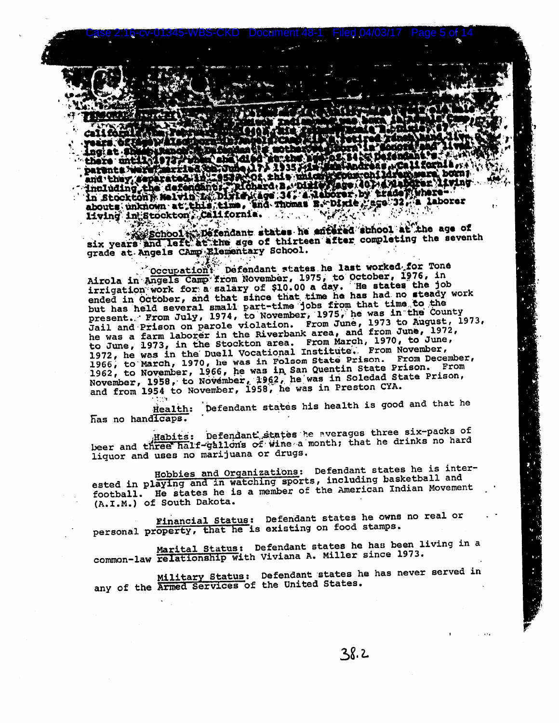there untill ?? ÆU nare until with the conduction of the set of the set of the call formia and they copirated the independent the unique defendence of the set of the set of the set of the set of the set of the set of the set of the set of th living in Stockton, California. . . . . . .

\*\*\* School # Defendant states he entered school at the age of six years and left at the age of thirteen after completing the seventh grade at Angels CAmp Elementary School.

Occupation: Defendant states he last worked for Tone Airola in Angels Camp from November, 1975, to October, 1976, in<br>irrigation work for a salary of \$10.00 a day. He states the job ended in October, and that since that time he has had no steady work but has held several small part-time jobs from that time to the present. From July, 1974, to November, 1975, he was in the County Jail and Prison on parole violation. From June, 1973 to August, 1973,<br>he was a farm laborer in the Riverbank area, and from June, 1972, to June, 1973, in the Stockton area. From March, 1970, to June, 1972, he was in the Duell Vocational Institute. From November, 1966, to March, 1970, he was in Folsom State Prison. From December, 1962, to November, 1966, he was in San Quentin State Prison. From<br>November, 1958, to November, 1962, he was in Soledad State Prison,<br>and from 1954 to November, 1958, he was in Preston CYA.

Health: Defendant states his health is good and that he has no handlcaps.

Habits: Defendant states he averages three six-packs of peer and three half-gallons of wine a month; that he drinks no hard liquor and uses no marijuana or drugs.

Hobbies and Organizations: Defendant states he is interested in playing and in watching sports, including basketball and football. He states he is a member of the American Indian Movement (A.I.M.) of South Dakota.

Financial Status: Defendant states he owns no real or personal property, that he is existing on food stamps.

Marital Status: Defendant states he has been living in a common-law relationship with Viviana A. Miller since 1973.

<u>Military Status</u>: Defendant states he has never served in any of the Armed Services of the United States.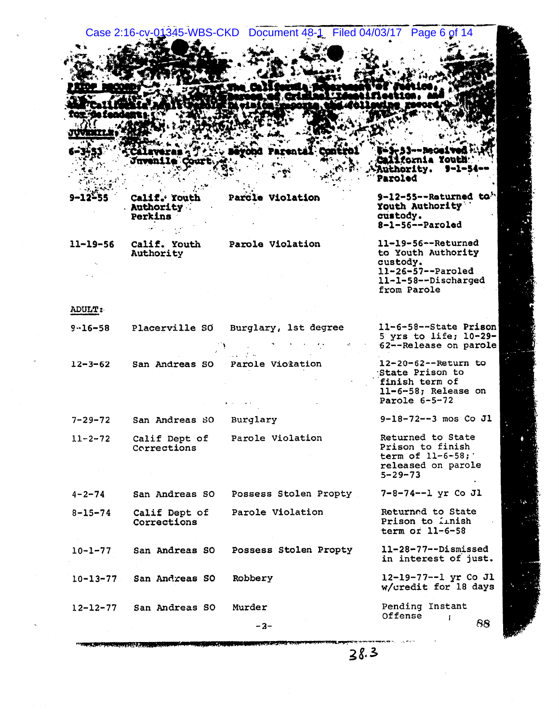345-WBS-CKD Document 48-1 Filed 04/03/17 Page 6 of 14 **Case 2:16** 

|                                             |  | <b>Authority.</b><br>9-1-54-<br>Paroled                                                                              |
|---------------------------------------------|--|----------------------------------------------------------------------------------------------------------------------|
| Calif. Youth<br><b>Authority</b><br>Perkins |  | 9-12-55--Returned to.<br>Youth Authority<br>custody.<br>$8-1-56--Parolad$                                            |
| Calif. Youth<br>Authority                   |  | $11-19-56--$ Returned<br>to Youth Authority<br>custody.<br>$11-26-57--Paroled$<br>11-1-58--Discharged<br>from Parole |
|                                             |  |                                                                                                                      |
| <b>Placerville SO</b>                       |  | 11-6-58--State Prison<br>5 yrs to life; $10-29-$<br>62--Release on parole                                            |
| San Andreas SO                              |  | $12 - 20 - 62 - -$ Return to<br>State Prison to<br>finish term of<br>$11-6-58$ ; Release on<br>Parole $6-5-72$       |
| San Andreas SO                              |  | $9-18-72--3$ mos Co Jl                                                                                               |
| Calif Dept of<br>Corrections                |  | Returned to State<br>Prison to finish<br>term of 11-6-58;<br>released on parole<br>$5 - 29 - 73$                     |
|                                             |  | Parcle Violation<br>Parole Violation<br>Burglary, 1st degree<br>Parole Violation<br>Burglary<br>Parole Violation     |

7-8-74--1 yr Co Jl

Returned to State Prison to *inish* term or 11-6-58

 $11-28-77-$ -Dismissed in interest of just.

12-19-77--1 yr Co Jl w/credit for 18 days

Pending Instant Offense  $\mathbf{r}$ 

88

 $-3-$ 

Parole Violation

Possess Stolen Propty

San Andreas SO Possess Stolen Propty

Robbery

Murder

Calif Dept of

San Andreas SO

San Andreas SO

San Andreas SO

Corrections

 $4 - 2 - 74$ 

 $8 - 15 - 74$ 

 $10 - 1 - 77$ 

 $10 - 13 - 77$ 

 $12 - 12 - 77$ 

 $38.3$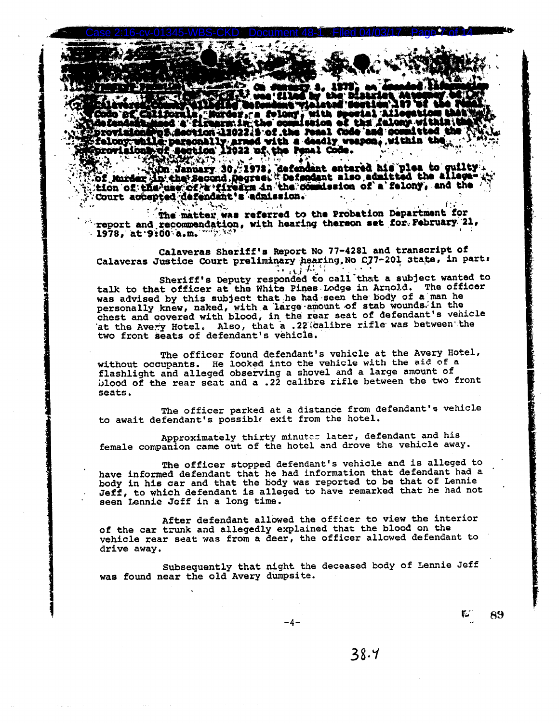or.ca. folony with **s** d a fireara in the co miseion of the falony w ps.section 1202215 of the real Code and oc bettli provisionar pa (section 1202215 or the remains one weak weak<br>felony while personally armed with a deadly weapon, within th<br>provisionary: section 12022 of the Penal Code.

Which with January 30, 1978, defendant entered his plea to guilty.<br>Wof Murder in the Second Degreet Defendant also admitted the allega- .<br>Wition of the use of a firearm in the commission of a felony, and the Court accepted defendant's admission.

The matter was referred to the Probation Department for "report and recommendation, with hearing thereon set for. February 21, 1978, at 9:00 a.m.  $1/2$ 

Calaveras Sheriff's Report No 77-4281 and transcript of Calaveras Justice Court preliminary hearing, No C77-201 state, in part:  $\sim 10^{12.7}$ 

Sheriff's Deputy responded to call that a subject wanted to<br>talk to that officer at the White Pines Lodge in Arnold. The officer was advised by this subject that he had seen the body of a man he personally knew, naked, with a large amount of stab wounds. in the chest and covered with blood, in the rear seat of defendant's vehicle at the Avery Hotel. Also, that a .22 calibre rifle was between the two front seats of defendant's vehicle.

The officer found defendant's vehicle at the Avery Hotel, without occupants. He looked into the vehicle with the aid of a flashlight and alleged observing a shovel and a large amount of blood of the rear seat and a .22 calibre rifle between the two front seats.

The officer parked at a distance from defendant's vehicle to await defendant's possible exit from the hotel.

Approximately thirty minutes later, defendant and his female companion came out of the hotel and drove the vehicle away.

The officer stopped defendant's vehicle and is alleged to have informed defendant that he had information that defendant had a body in his car and that the body was reported to be that of Lennie Jeff, to which defendant is alleged to have remarked that he had not seen Lennie Jeff in a long time.

After defendant allowed the officer to view the interior of the car trunk and allegedly explained that the blood on the vehicle rear seat was from a deer, the officer allowed defendant to drive away.

Subsequently that night the deceased body of Lennie Jeff was found near the old Avery dumpsite.

 $38.4$ 

r. 89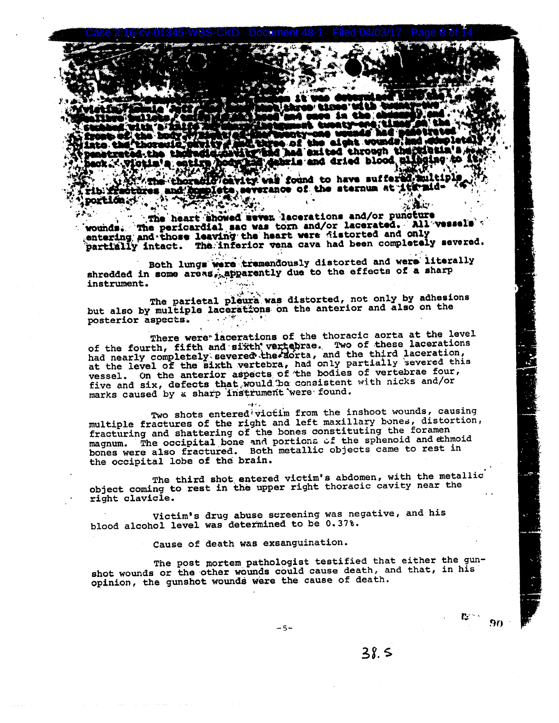n ald ht. WOU i af hid had exited through the Mahaid and dried blood al

ity vai found to have suffer werance of the sternum at iternides and g **portión al** 

The heart showed seven lacerations and/or puncture The pericardial sac was torn and/or lacerated. All vesse vounds. entering and those leaving the heart were fistorted and only partially intact. The inferior vena cava had been completely severed.

Both lungs were tremendously distorted and were literally shredded in some areas, apparently due to the effects of a sharp instrument.

The parietal pleura was distorted, not only by adhesions but also by multiple lacerations on the anterior and also on the posterior aspects.

There were lacerations of the thoracic aorta at the level of the fourth, fifth and sixth vertebras. Two of these lacerations had nearly completely severed the actria, and the third laceration, at the level of the sixth vertebra, had only partially severed this vessel. On the anterior aspects of the bodies of vertebrae four, five and six, defects that would be consistent with nicks and/or marks caused by a sharp instrument were found.

Two shots entered victim from the inshoot wounds, causing multiple fractures of the right and left maxillary bones, distortion, fracturing and shattering of the bones constituting the foramen magnum. The occipital bone and portions of the sphenoid and ethmoid bones were also fractured. Both metallic objects came to rest in the occipital lobe of the brain.

The third shot entered victim's abdomen, with the metallic object coming to rest in the upper right thoracic cavity near the right clavicle.

Victim's drug abuse screening was negative, and his blood alcohol level was determined to be 0.37%.

### Cause of death was exsanguination.

The post mortem pathologist testified that either the gunshot wounds or the other wounds could cause death, and that, in his opinion, the gunshot wounds were the cause of death.

 $-5-$ 

 $38.5$ 

 $\mathbf{r}_i$  .

90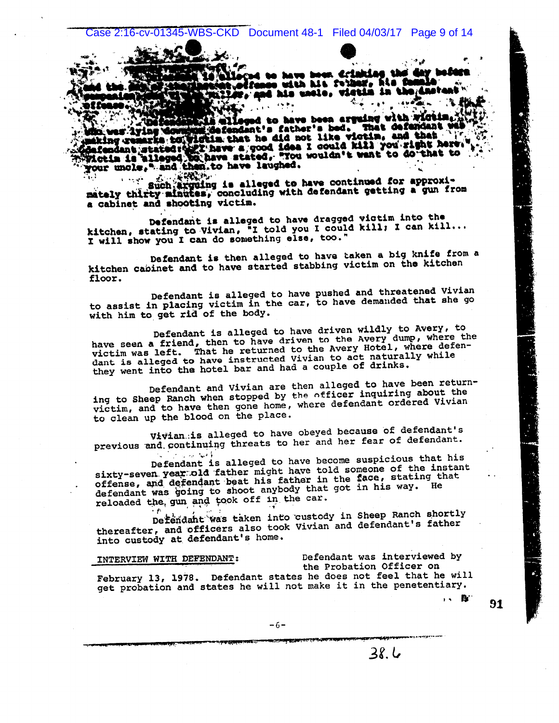nd to have been drinking the tyotrango with his remar, his m fr, and his unsle, vietin in th

leged to have been arguing with wictim. who wer lying downship distendant's father's bed. That defendant with under lying downship defendant's father's bed. That defendant with making comarks to widths. that he did not like viotin, and that your uncle," and then to have laughed.

such arguing is alleged to have continued for approxir nggir mately thirty minutes, concluding with defendant getting a gun from a cabinet and shooting victim.

Defendant is alleged to have dragged victim into the kitchen, stating to Vivian, "I told you I could kill; I can kill... I will show you I can do something else, too."

Defendant is then alleged to have taken a big knife from a kitchen capinet and to have started stabbing victim on the kitchen floor.

Defendant is alleged to have pushed and threatened Vivian to assist in placing victim in the car, to have demanded that she go with him to get rid of the body.

Defendant is alleged to have driven wildly to Avery, to have seen a friend, then to have driven to the Avery dump, where the victim was left. That he returned to the Avery Hotel, where defendant is alleged to have instructed Vivian to act naturally while they went into the hotel bar and had a couple of drinks.

Defendant and Vivian are then alleged to have been returning to Sheep Ranch when stopped by the officer inquiring about the victim, and to have then gone home, where defendant ordered Vivian to clean up the blood on the place.

Vivian is alleged to have obeyed because of defendant's previous and continuing threats to her and her fear of defendant.

Defendant is alleged to have become suspicious that his والانتشار والمرادي sixty-seven year old father might have told someone of the instant offense, and defendant beat his father in the face, stating that defendant was going to shoot anybody that got in his way. He reloaded the gun and took off in the car.

Defendant was taken into custody in Sheep Ranch shortly thereafter, and officers also took Vivian and defendant's father into custody at defendant's home.

INTERVIEW WITH DEFENDANT:

Defendant was interviewed by the Probation Officer on

 $38.6$ 

・・ 段"

91

February 13, 1978. Defendant states he does not feel that he will get probation and states he will not make it in the penetentiary.

 $-6-$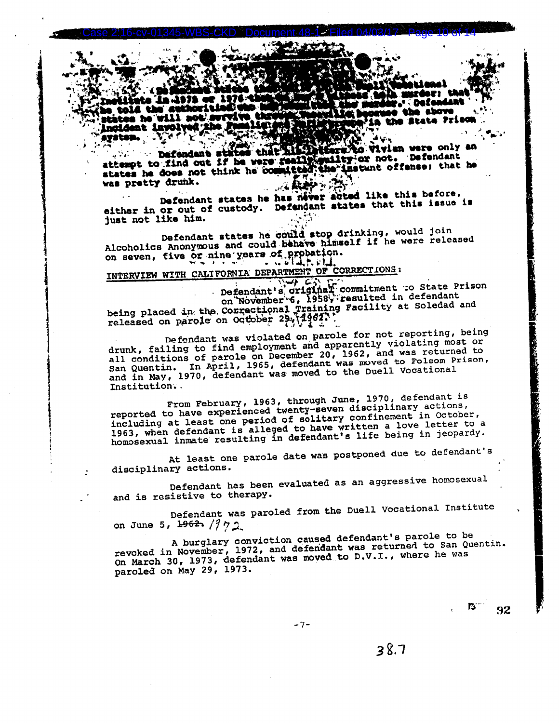e: th **Defendant aha ahove** tes he will m the State Prison naideat iavolt

Wien were only an **... Defendent sta** attempt to find out if he were really guilty or not. Defendant d'the instant offense; that he states he does not think he com was pretty drunk.

Defendant states he has never acted like this before. either in or out of custody. Defendant states that this issue is just not like him.

زكاور

Defendant states he could stop drinking, would join Alcoholics Anonymous and could behave himself if he were released on seven, five or nine years of probation.

## INTERVIEW WITH CALIFORNIA DEPARTMENT OF CORRECTIONS:

Defendant's original commitment to State Prison<br>on November'6, 1958, resulted in defendant being placed in the Correctional fraining Facility at Soledad and released on parole on October 29. (1962).

Defendant was violated on parole for not reporting, being drunk, failing to find employment and apparently violating most or all conditions of parole on December 20, 1962, and was returned to San Quentin. In April, 1965, defendant was moved to Folsom Prison, and in May, 1970, defendant was moved to the Duell Vocational Institution.

From February, 1963, through June, 1970, defendant is reported to have experienced twenty-seven disciplinary actions, including at least one period of solitary confinement in October, 1963, when defendant is alleged to have written a love letter to a homosexual inmate resulting in defendant's life being in jeopardy.

At least one parole date was postponed due to defendant's disciplinary actions.

Defendant has been evaluated as an aggressive homosexual and is resistive to therapy.

Defendant was paroled from the Duell Vocational Institute on June 5, 1962,  $/972$ 

A burglary conviction caused defendant's parole to be revoked in November, 1972, and defendant was returned to San Quentin. On March 30, 1973, defendant was moved to D.V.I., where he was paroled on May 29, 1973.

 $-7-$ 

 $38.7$ 

 $\mathbf{E}^{\text{max}}$ 

92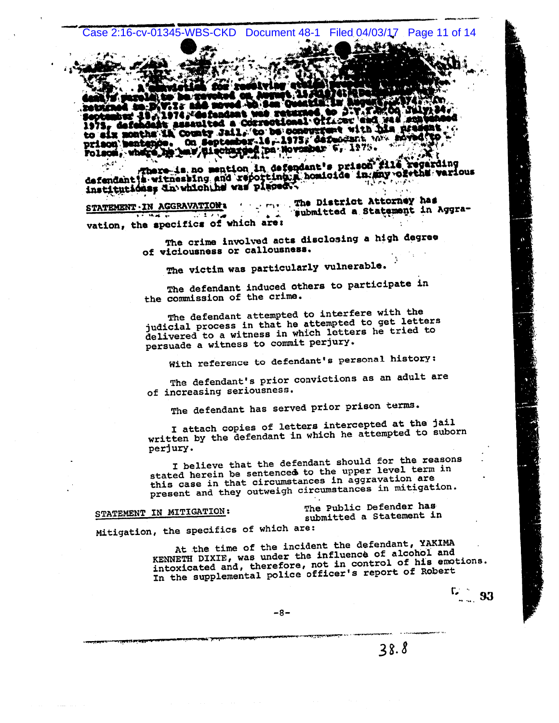Case 2:16-cv-01345-WBS-CKD Document 48-1 Filed 04/03/17 Page 11 of 14

l t . . bur 49-1974, Cofendant was return 1974, Confendant was returned to 3.7.7<br>it assaulted a Correctional Officer an 1975<sub>r</sub> dafe to six months in County Jail, to be concurrent with his usafe prison bentshop. On September 16, 1975; defuncant with shived?

There is no mention in defendant's prison fills regarding<br>defendant is witnessing and reporting a homicide in any of the various<br>institutions; dn which he was placed .

me. The District Attorney has STATEMENT - IN AGGRAVATION 'submitted a Statement in Aggra- $\sqrt{1 + \sqrt{2}}$ ند د vation, the specifics of which are:

The crime involved acts disclosing a high degree of viciousness or callousness.

The victim was particularly vulnerable.

The defendant induced others to participate in the commission of the crime.

The defendant attempted to interfere with the judicial process in that he attempted to get letters delivered to a witness in which letters he tried to persuade a witness to commit perjury.

With reference to defendant's personal history:

The defendant's prior convictions as an adult are of increasing seriousness.

The defendant has served prior prison terms.

I attach copies of letters intercepted at the jail written by the defendant in which he attempted to suborn perjury.

I believe that the defendant should for the reasons stated herein be sentenced to the upper level term in this case in that circumstances in aggravation are present and they outweigh circumstances in mitigation.

STATEMENT IN MITIGATION:

The Public Defender has submitted a Statement in

Mitigation, the specifics of which are:

At the time of the incident the defendant, YAKIMA KENNETH DIXIE, was under the influence of alcohol and intoxicated and, therefore, not in control of his emotions. In the supplemental police officer's report of Robert

-93

 $-8-$ 

 $38.8$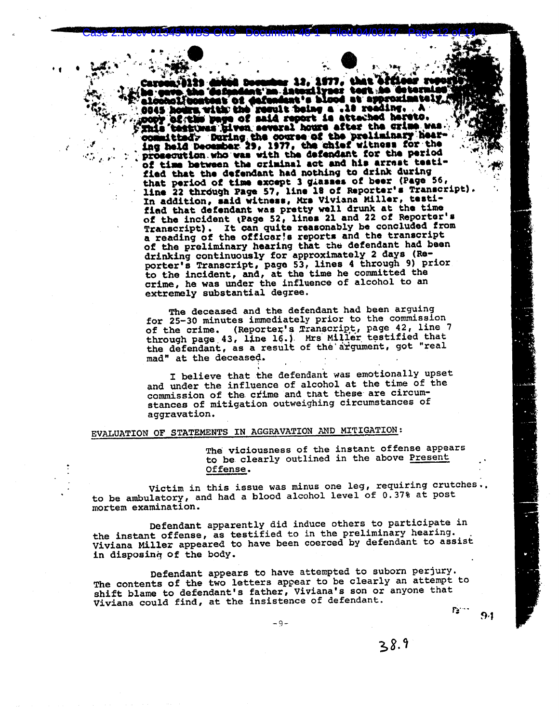fendent's blood at approxi patent of dafundant's blood at approximate<br>a with the result being a .10 reading, .A<br>me page of said report is attached hereto. testuma (iiven several hours after the crime was committedy During the course of the preliminary hearing hearing held December 29, 1977, the chief witness for the prosecution who was with the defendant for the period of time between the criminal act and his arrast testified that the defendant had nothing to drink during that period of time except 3 giasses of beer (Page 56, line 22 through Page 57, line 18 of Reporter's Transcript) In addition, said witness, Mrs Viviana Miller, testified that defendant was pretty well drunk at the time of the incident (Page 52, lines 21 and 22 of Reporter's Transcript). It can quite reasonably be concluded from a reading of the officar's reports and the transcript of the preliminary hearing that the defendant had been drinking continuously for approximately 2 days (Re-<br>porter's Transcript, page 53, lines 4 through 9) prior to the incident, and, at the time he committed the<br>crime, he was under the influence of alcohol to an extremely substantial degree.

The deceased and the defendant had been arguing for 25-30 minutes immediately prior to the commission of the crime. (Reporter's Transcript, page 42, line 7 through page 43, line 16.) Mrs Miller testified that the defendant, as a result of the argument, got "real mad" at the deceased.

I believe that the defendant was emotionally upset and under the influence of alcohol at the time of the commission of the crime and that these are circumstances of mitigation outweighing circumstances of aggravation.

## EVALUATION OF STATEMENTS IN AGGRAVATION AND MITIGATION:

The viciousness of the instant offense appears to be clearly outlined in the above Present Offense.

Victim in this issue was minus one leg, requiring crutches.. to be ambulatory, and had a blood alcohol level of 0.37% at post mortem examination.

Defendant apparently did induce others to participate in the instant offense, as testified to in the preliminary hearing.<br>Viviana Miller appeared to have been coerced by defendant to assist in disposing of the body.

Defendant appears to have attempted to suborn perjury. The contents of the two letters appear to be clearly an attempt to shift blame to defendant's father, Viviana's son or anyone that Viviana could find, at the insistence of defendant.  $F_2$   $\cdots$ 

 $-9-$ 

 $9.1$ 

 $38.9$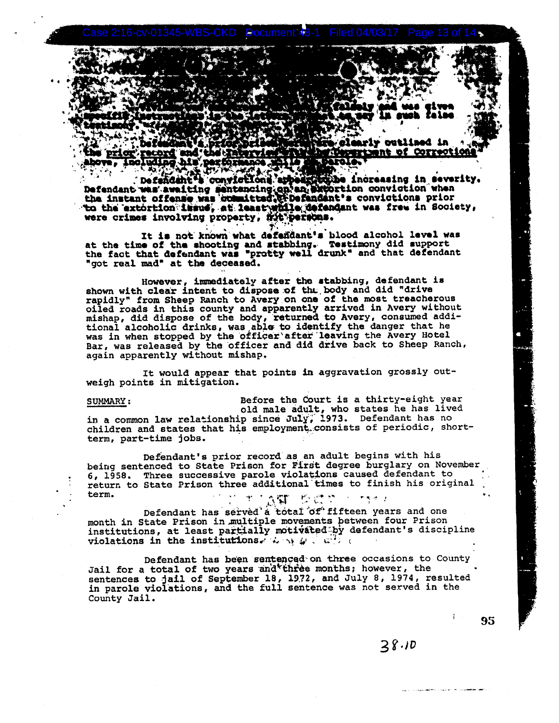glearly outlined in and' <u>rtownt of Correctio</u> **record** spose, too mind of a bestor rtofe

to be increasing in severity. Defandant a convictions ar Defendant was awaiting sentencing on an extortion conviction when the instant offense was committed. The fandant's convictions prior to the extortion issue, at least while defendant was free in Society, were crimes involving property, mit persons.

It is not known what defendant's blood alcohol level was at the time of the shooting and stabbing. Testimony did support<br>the fact that defendant was "protty well drunk" and that defendant "got real mad" at the deceased.

However, immediately after the stabbing, defendant is shown with clear intent to dispose of the body and did "drive rapidly" from Sheep Ranch to Avery on one of the most treacherous<br>oiled roads in this county and apparently arrived in Avery without<br>mishap, did dispose of the body, returned to Avery, consumed addi-<br>tional alcoholic drink was in when stopped by the officer after leaving the Avery Hotel Bar, was released by the officer and did drive back to Sheep Ranch, again apparently without mishap.

It would appear that points in aggravation grossly outweigh points in mitigation.

Before the Court is a thirty-eight year SUMMARY: old male adult, who states he has lived<br>in a common law relationship since July, 1973. Defendant has no<br>children and states that his employment consists of periodic, shortterm, part-time jobs.

Defendant's prior record as an adult begins with his being sentenced to State Prison for First degree burglary on November 6, 1958. Three successive parole violations caused defendant to return to State Prison three additional times to finish his original term.  $\mathbb{Z}$ and the state 不可予了

Defendant has served a total of fifteen years and one month in State Prison in multiple movements between four Prison institutions, at least partially motivated by defendant's discipline violations in the institutions. A set of  $\mathcal{L} \subset \mathbb{R}^N$  and

Defendant has been sentenced on three occasions to County Jail for a total of two years and three months; however, the sentences to jail of September 18, 1972, and July 8, 1974, resulted<br>in parole violations, and the full sentence was not served in the County Jail.

95

## $28.10$

**Communication of the Communication**